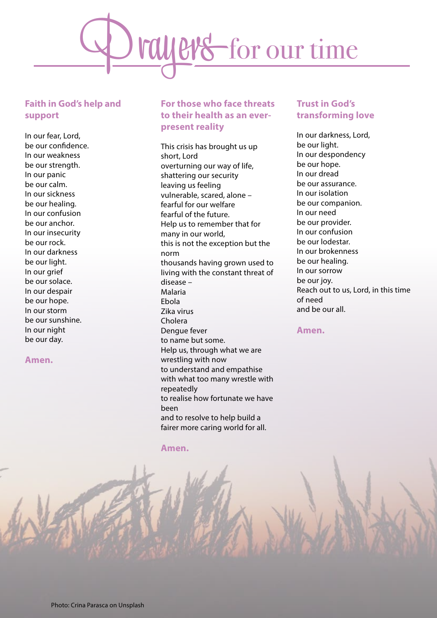

## **Faith in God's help and support**

In our fear, Lord, be our confidence. In our weakness be our strength. In our panic be our calm. In our sickness be our healing. In our confusion be our anchor. In our insecurity be our rock. In our darkness be our light. In our grief be our solace. In our despair be our hope. In our storm be our sunshine. In our night be our day.

#### **Amen.**

# **For those who face threats to their health as an everpresent reality**

This crisis has brought us up short, Lord overturning our way of life, shattering our security leaving us feeling vulnerable, scared, alone – fearful for our welfare fearful of the future. Help us to remember that for many in our world, this is not the exception but the norm thousands having grown used to living with the constant threat of disease – Malaria Ebola Zika virus Cholera Dengue fever to name but some. Help us, through what we are wrestling with now to understand and empathise with what too many wrestle with repeatedly to realise how fortunate we have been and to resolve to help build a fairer more caring world for all.

#### **Amen.**

## **Trust in God's transforming love**

In our darkness, Lord, be our light. In our despondency be our hope. In our dread be our assurance. In our isolation be our companion. In our need be our provider. In our confusion be our lodestar. In our brokenness be our healing. In our sorrow be our joy. Reach out to us, Lord, in this time of need and be our all.

#### **Amen.**